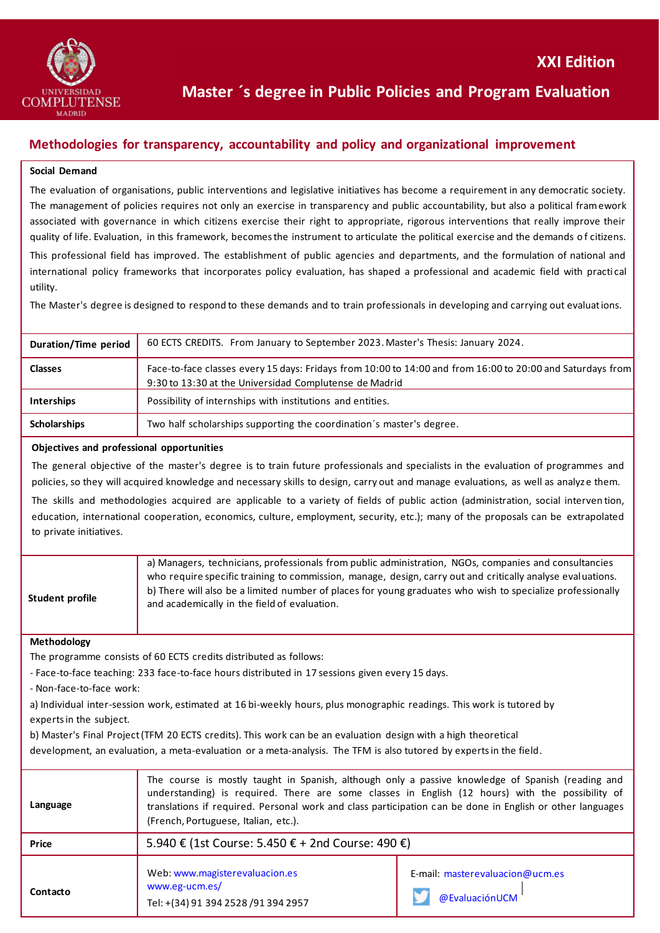

# **Master ´s degree in Public Policies and Program Evaluation**

## **Methodologies for transparency, accountability and policy and organizational improvement**

### **Social Demand**

The evaluation of organisations, public interventions and legislative initiatives has become a requirement in any democratic society. The management of policies requires not only an exercise in transparency and public accountability, but also a political framework associated with governance in which citizens exercise their right to appropriate, rigorous interventions that really improve their quality of life. Evaluation, in this framework, becomes the instrument to articulate the political exercise and the demands of citizens. This professional field has improved. The establishment of public agencies and departments, and the formulation of national and

international policy frameworks that incorporates policy evaluation, has shaped a professional and academic field with practi cal utility.

The Master's degree is designed to respond to these demands and to train professionals in developing and carrying out evaluations.

| Duration/Time period | 60 ECTS CREDITS. From January to September 2023. Master's Thesis: January 2024.                                                                                      |
|----------------------|----------------------------------------------------------------------------------------------------------------------------------------------------------------------|
| <b>Classes</b>       | Face-to-face classes every 15 days: Fridays from 10:00 to 14:00 and from 16:00 to 20:00 and Saturdays from<br>9:30 to 13:30 at the Universidad Complutense de Madrid |
| <b>Interships</b>    | Possibility of internships with institutions and entities.                                                                                                           |
| <b>Scholarships</b>  | Two half scholarships supporting the coordination's master's degree.                                                                                                 |

#### **Objectives and professional opportunities**

The general objective of the master's degree is to train future professionals and specialists in the evaluation of programmes and policies, so they will acquired knowledge and necessary skills to design, carry out and manage evaluations, as well as analyze them.

The skills and methodologies acquired are applicable to a variety of fields of public action (administration, social interven tion, education, international cooperation, economics, culture, employment, security, etc.); many of the proposals can be extrapolated to private initiatives.

| Student profile | a) Managers, technicians, professionals from public administration, NGOs, companies and consultancies<br>who require specific training to commission, manage, design, carry out and critically analyse evaluations.<br>b) There will also be a limited number of places for young graduates who wish to specialize professionally<br>and academically in the field of evaluation. |
|-----------------|-----------------------------------------------------------------------------------------------------------------------------------------------------------------------------------------------------------------------------------------------------------------------------------------------------------------------------------------------------------------------------------|
|                 |                                                                                                                                                                                                                                                                                                                                                                                   |

#### **Methodology**

The programme consists of 60 ECTS credits distributed as follows:

- Face-to-face teaching: 233 face-to-face hours distributed in 17 sessions given every 15 days.

- Non-face-to-face work:

a) Individual inter-session work, estimated at 16 bi-weekly hours, plus monographic readings. This work is tutored by experts in the subject.

b) Master's Final Project (TFM 20 ECTS credits). This work can be an evaluation design with a high theoretical

development, an evaluation, a meta-evaluation or a meta-analysis. The TFM is also tutored by experts in the field.

| Language | The course is mostly taught in Spanish, although only a passive knowledge of Spanish (reading and<br>understanding) is required. There are some classes in English (12 hours) with the possibility of<br>translations if required. Personal work and class participation can be done in English or other languages<br>(French, Portuguese, Italian, etc.). |                                                   |
|----------|------------------------------------------------------------------------------------------------------------------------------------------------------------------------------------------------------------------------------------------------------------------------------------------------------------------------------------------------------------|---------------------------------------------------|
| Price    | 5.940 € (1st Course: 5.450 € + 2nd Course: 490 €)                                                                                                                                                                                                                                                                                                          |                                                   |
| Contacto | Web: www.magisterevaluacion.es<br>www.eg-ucm.es/<br>Tel: +(34) 91 394 2528 /91 394 2957                                                                                                                                                                                                                                                                    | E-mail: masterevaluacion@ucm.es<br>@EvaluaciónUCM |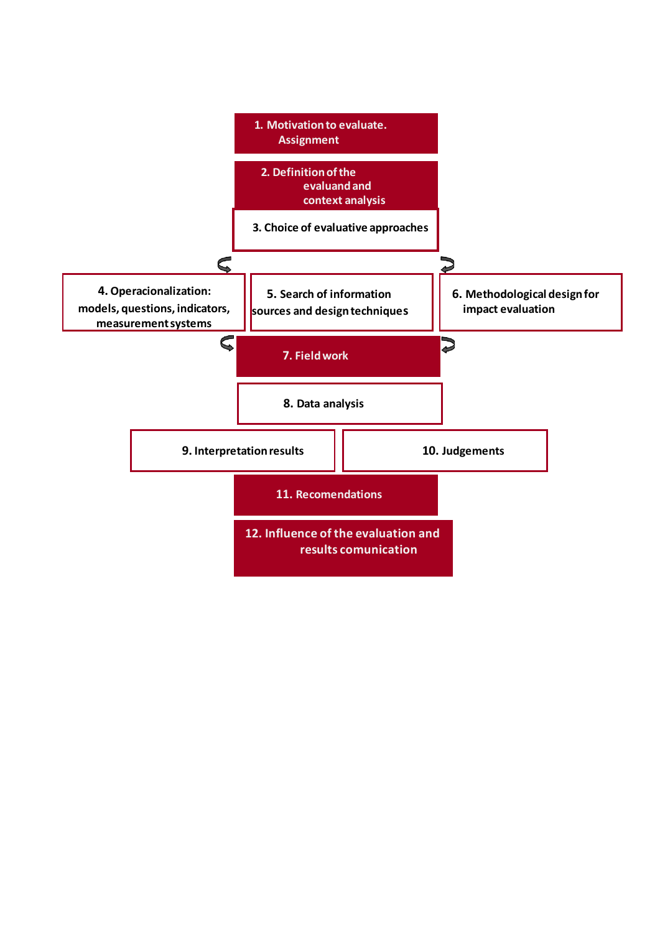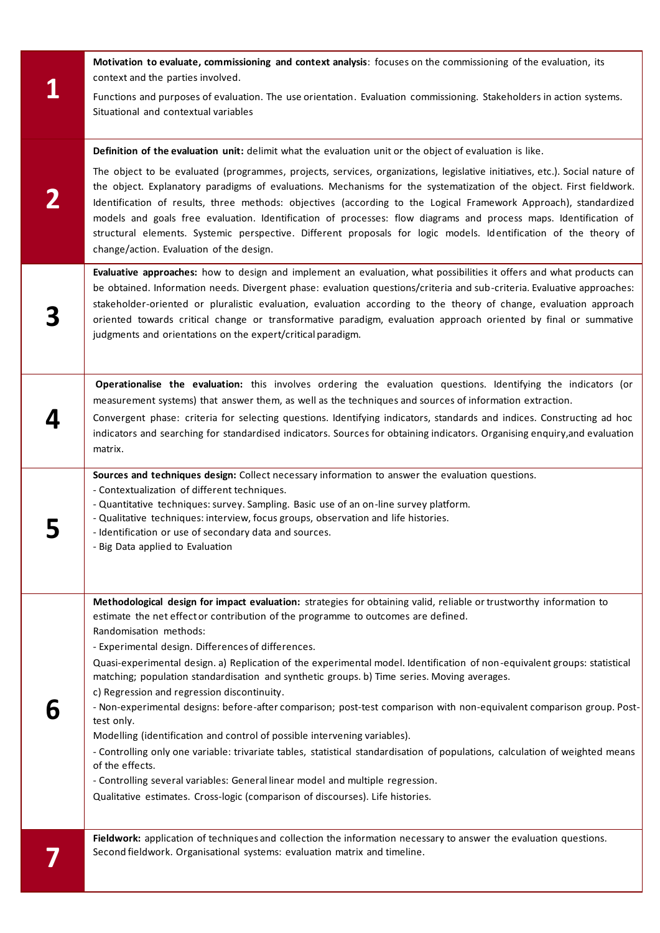| Motivation to evaluate, commissioning and context analysis: focuses on the commissioning of the evaluation, its<br>context and the parties involved.                                                                                                                                                                                                                                                                                                                                                                                                                                                                                                                                                                                                                                                                                                                                                                                                                                                                                                                                                            |
|-----------------------------------------------------------------------------------------------------------------------------------------------------------------------------------------------------------------------------------------------------------------------------------------------------------------------------------------------------------------------------------------------------------------------------------------------------------------------------------------------------------------------------------------------------------------------------------------------------------------------------------------------------------------------------------------------------------------------------------------------------------------------------------------------------------------------------------------------------------------------------------------------------------------------------------------------------------------------------------------------------------------------------------------------------------------------------------------------------------------|
| Functions and purposes of evaluation. The use orientation. Evaluation commissioning. Stakeholders in action systems.<br>Situational and contextual variables                                                                                                                                                                                                                                                                                                                                                                                                                                                                                                                                                                                                                                                                                                                                                                                                                                                                                                                                                    |
| Definition of the evaluation unit: delimit what the evaluation unit or the object of evaluation is like.                                                                                                                                                                                                                                                                                                                                                                                                                                                                                                                                                                                                                                                                                                                                                                                                                                                                                                                                                                                                        |
| The object to be evaluated (programmes, projects, services, organizations, legislative initiatives, etc.). Social nature of<br>the object. Explanatory paradigms of evaluations. Mechanisms for the systematization of the object. First fieldwork.<br>Identification of results, three methods: objectives (according to the Logical Framework Approach), standardized<br>models and goals free evaluation. Identification of processes: flow diagrams and process maps. Identification of<br>structural elements. Systemic perspective. Different proposals for logic models. Identification of the theory of<br>change/action. Evaluation of the design.                                                                                                                                                                                                                                                                                                                                                                                                                                                     |
| Evaluative approaches: how to design and implement an evaluation, what possibilities it offers and what products can<br>be obtained. Information needs. Divergent phase: evaluation questions/criteria and sub-criteria. Evaluative approaches:<br>stakeholder-oriented or pluralistic evaluation, evaluation according to the theory of change, evaluation approach<br>oriented towards critical change or transformative paradigm, evaluation approach oriented by final or summative<br>judgments and orientations on the expert/critical paradigm.                                                                                                                                                                                                                                                                                                                                                                                                                                                                                                                                                          |
| Operationalise the evaluation: this involves ordering the evaluation questions. Identifying the indicators (or<br>measurement systems) that answer them, as well as the techniques and sources of information extraction.<br>Convergent phase: criteria for selecting questions. Identifying indicators, standards and indices. Constructing ad hoc<br>indicators and searching for standardised indicators. Sources for obtaining indicators. Organising enquiry, and evaluation<br>matrix.                                                                                                                                                                                                                                                                                                                                                                                                                                                                                                                                                                                                                    |
| Sources and techniques design: Collect necessary information to answer the evaluation questions.<br>- Contextualization of different techniques.<br>- Quantitative techniques: survey. Sampling. Basic use of an on-line survey platform.<br>- Qualitative techniques: interview, focus groups, observation and life histories.<br>- Identification or use of secondary data and sources.<br>- Big Data applied to Evaluation                                                                                                                                                                                                                                                                                                                                                                                                                                                                                                                                                                                                                                                                                   |
| Methodological design for impact evaluation: strategies for obtaining valid, reliable or trustworthy information to<br>estimate the net effect or contribution of the programme to outcomes are defined.<br>Randomisation methods:<br>- Experimental design. Differences of differences.<br>Quasi-experimental design. a) Replication of the experimental model. Identification of non-equivalent groups: statistical<br>matching; population standardisation and synthetic groups. b) Time series. Moving averages.<br>c) Regression and regression discontinuity.<br>- Non-experimental designs: before-after comparison; post-test comparison with non-equivalent comparison group. Post-<br>test only.<br>Modelling (identification and control of possible intervening variables).<br>- Controlling only one variable: trivariate tables, statistical standardisation of populations, calculation of weighted means<br>of the effects.<br>- Controlling several variables: General linear model and multiple regression.<br>Qualitative estimates. Cross-logic (comparison of discourses). Life histories. |
| Fieldwork: application of techniques and collection the information necessary to answer the evaluation questions.<br>Second fieldwork. Organisational systems: evaluation matrix and timeline.                                                                                                                                                                                                                                                                                                                                                                                                                                                                                                                                                                                                                                                                                                                                                                                                                                                                                                                  |